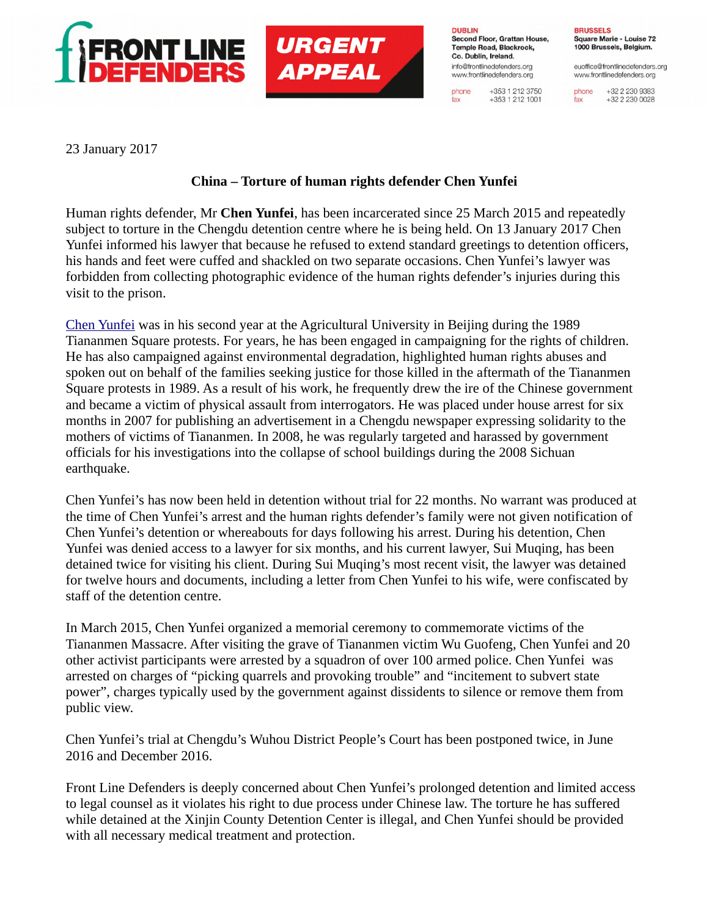

**DUBLIN** Second Floor, Grattan House, Temple Road, Blackrock. Co. Dublin, Ireland. info@frontlinedefenders.org www.frontlinedefenders.org

phone

fax

+353 1 212 3750

 $+353$  1 212 1001

**BRUSSELS** Square Marie - Louise 72 1000 Brussels, Belgium.

euoffice@frontlinedefenders.org www.frontlinedefenders.org

+32 2 230 9383 phone +32 2 230 0028 fax

23 January 2017

## **China – Torture of human rights defender Chen Yunfei**

**URGENT** 

**APPEAL** 

Human rights defender, Mr **Chen Yunfei**, has been incarcerated since 25 March 2015 and repeatedly subject to torture in the Chengdu detention centre where he is being held. On 13 January 2017 Chen Yunfei informed his lawyer that because he refused to extend standard greetings to detention officers, his hands and feet were cuffed and shackled on two separate occasions. Chen Yunfei's lawyer was forbidden from collecting photographic evidence of the human rights defender's injuries during this visit to the prison.

[Chen Yunfei](https://www.frontlinedefenders.org/en/case/case-history-chen-yunfei) was in his second year at the Agricultural University in Beijing during the 1989 Tiananmen Square protests. For years, he has been engaged in campaigning for the rights of children. He has also campaigned against environmental degradation, highlighted human rights abuses and spoken out on behalf of the families seeking justice for those killed in the aftermath of the Tiananmen Square protests in 1989. As a result of his work, he frequently drew the ire of the Chinese government and became a victim of physical assault from interrogators. He was placed under house arrest for six months in 2007 for publishing an advertisement in a Chengdu newspaper expressing solidarity to the mothers of victims of Tiananmen. In 2008, he was regularly targeted and harassed by government officials for his investigations into the collapse of school buildings during the 2008 Sichuan earthquake.

Chen Yunfei's has now been held in detention without trial for 22 months. No warrant was produced at the time of Chen Yunfei's arrest and the human rights defender's family were not given notification of Chen Yunfei's detention or whereabouts for days following his arrest. During his detention, Chen Yunfei was denied access to a lawyer for six months, and his current lawyer, Sui Muqing, has been detained twice for visiting his client. During Sui Muqing's most recent visit, the lawyer was detained for twelve hours and documents, including a letter from Chen Yunfei to his wife, were confiscated by staff of the detention centre.

In March 2015, Chen Yunfei organized a memorial ceremony to commemorate victims of the Tiananmen Massacre. After visiting the grave of Tiananmen victim Wu Guofeng, Chen Yunfei and 20 other activist participants were arrested by a squadron of over 100 armed police. Chen Yunfei was arrested on charges of "picking quarrels and provoking trouble" and "incitement to subvert state power", charges typically used by the government against dissidents to silence or remove them from public view.

Chen Yunfei's trial at Chengdu's Wuhou District People's Court has been postponed twice, in June 2016 and December 2016.

Front Line Defenders is deeply concerned about Chen Yunfei's prolonged detention and limited access to legal counsel as it violates his right to due process under Chinese law. The torture he has suffered while detained at the Xinjin County Detention Center is illegal, and Chen Yunfei should be provided with all necessary medical treatment and protection.